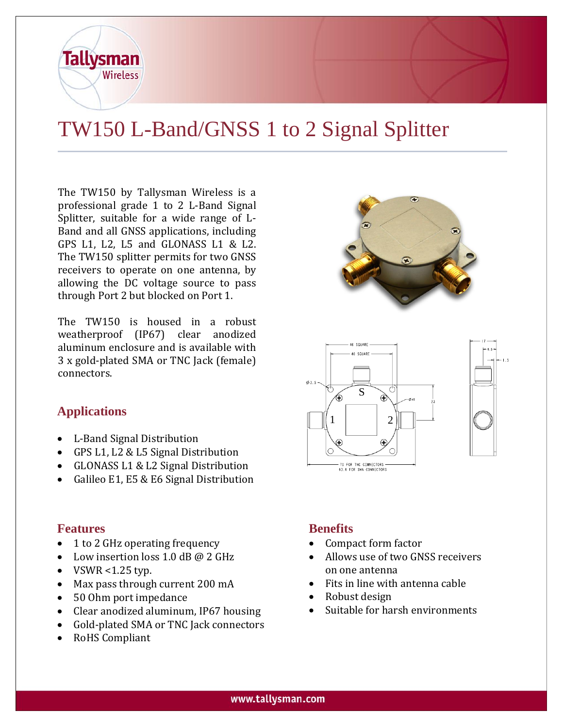

The TW150 by Tallysman Wireless is a professional grade 1 to 2 L-Band Signal Splitter, suitable for a wide range of L-Band and all GNSS applications, including GPS L1, L2, L5 and GLONASS L1 & L2. The TW150 splitter permits for two GNSS receivers to operate on one antenna, by allowing the DC voltage source to pass through Port 2 but blocked on Port 1.

The TW150 is housed in a robust weatherproof (IP67) clear anodized aluminum enclosure and is available with 3 x gold-plated SMA or TNC Jack (female) connectors.

# **Applications**

**Tallysman** 

Wireless

- L-Band Signal Distribution
- GPS L1, L2 & L5 Signal Distribution
- GLONASS L1 & L2 Signal Distribution
- Galileo E1, E5 & E6 Signal Distribution

#### **Features**

- 1 to 2 GHz operating frequency
- Low insertion loss  $1.0$  dB  $\omega$  2 GHz
- $\bullet$  VSWR <1.25 typ.
- Max pass through current 200 mA
- 50 Ohm port impedance
- Clear anodized aluminum, IP67 housing
- Gold-plated SMA or TNC Jack connectors
- RoHS Compliant

## **Benefits**

- Compact form factor
- Allows use of two GNSS receivers on one antenna
- Fits in line with antenna cable
- Robust design
- Suitable for harsh environments